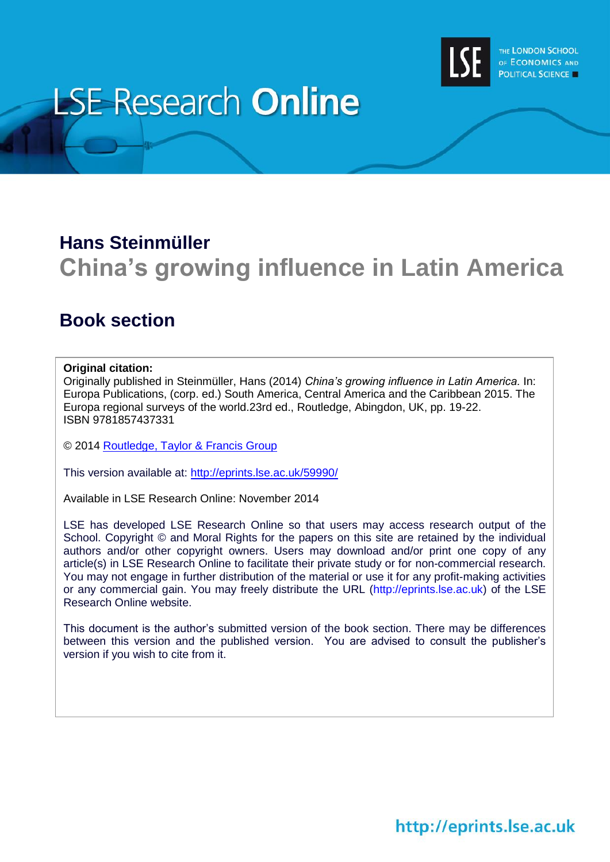

# **LSE Research Online**

## **Hans Steinmüller China's growing influence in Latin America**

### **Book section**

### **Original citation:**

Originally published in Steinmüller, Hans (2014) *China's growing influence in Latin America.* In: Europa Publications, (corp. ed.) South America, Central America and the Caribbean 2015. The Europa regional surveys of the world.23rd ed., Routledge, Abingdon, UK, pp. 19-22. ISBN 9781857437331

© 2014 [Routledge, Taylor & Francis Group](http://www.routledge.com/)

This version available at:<http://eprints.lse.ac.uk/59990/>

Available in LSE Research Online: November 2014

LSE has developed LSE Research Online so that users may access research output of the School. Copyright © and Moral Rights for the papers on this site are retained by the individual authors and/or other copyright owners. Users may download and/or print one copy of any article(s) in LSE Research Online to facilitate their private study or for non-commercial research. You may not engage in further distribution of the material or use it for any profit-making activities or any commercial gain. You may freely distribute the URL (http://eprints.lse.ac.uk) of the LSE Research Online website.

This document is the author's submitted version of the book section. There may be differences between this version and the published version. You are advised to consult the publisher's version if you wish to cite from it.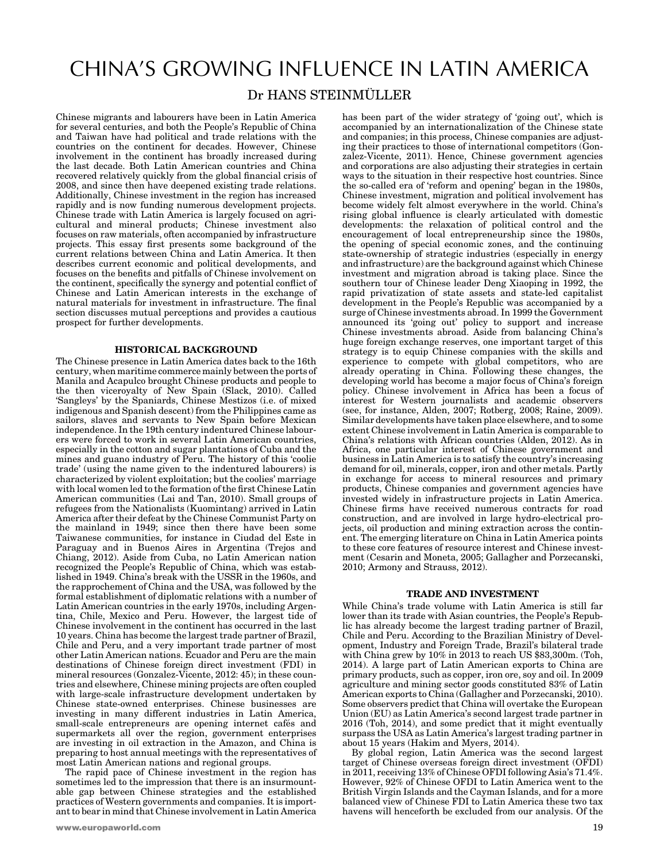### CHINA'S GROWING INFLUENCE IN LATIN AMERICA Dr HANS STEINMÜLLER

Chinese migrants and labourers have been in Latin America for several centuries, and both the People's Republic of China and Taiwan have had political and trade relations with the countries on the continent for decades. However, Chinese involvement in the continent has broadly increased during the last decade. Both Latin American countries and China recovered relatively quickly from the global financial crisis of 2008, and since then have deepened existing trade relations. Additionally, Chinese investment in the region has increased rapidly and is now funding numerous development projects. Chinese trade with Latin America is largely focused on agricultural and mineral products; Chinese investment also focuses on raw materials, often accompanied by infrastructure projects. This essay first presents some background of the current relations between China and Latin America. It then describes current economic and political developments, and focuses on the benefits and pitfalls of Chinese involvement on the continent, specifically the synergy and potential conflict of Chinese and Latin American interests in the exchange of natural materials for investment in infrastructure. The final section discusses mutual perceptions and provides a cautious prospect for further developments.

#### HISTORICAL BACKGROUND

The Chinese presence in Latin America dates back to the 16th century, when maritime commerce mainly between the ports of Manila and Acapulco brought Chinese products and people to the then viceroyalty of New Spain (Slack, 2010). Called 'Sangleys' by the Spaniards, Chinese Mestizos (i.e. of mixed indigenous and Spanish descent) from the Philippines came as sailors, slaves and servants to New Spain before Mexican independence. In the 19th century indentured Chinese labourers were forced to work in several Latin American countries, especially in the cotton and sugar plantations of Cuba and the mines and guano industry of Peru. The history of this 'coolie trade' (using the name given to the indentured labourers) is characterized by violent exploitation; but the coolies' marriage with local women led to the formation of the first Chinese Latin American communities (Lai and Tan, 2010). Small groups of refugees from the Nationalists (Kuomintang) arrived in Latin America after their defeat by the Chinese Communist Party on the mainland in 1949; since then there have been some Taiwanese communities, for instance in Ciudad del Este in Paraguay and in Buenos Aires in Argentina (Trejos and Chiang, 2012). Aside from Cuba, no Latin American nation recognized the People's Republic of China, which was established in 1949. China's break with the USSR in the 1960s, and the rapprochement of China and the USA, was followed by the formal establishment of diplomatic relations with a number of Latin American countries in the early 1970s, including Argentina, Chile, Mexico and Peru. However, the largest tide of Chinese involvement in the continent has occurred in the last 10 years. China has become the largest trade partner of Brazil, Chile and Peru, and a very important trade partner of most other Latin American nations. Ecuador and Peru are the main destinations of Chinese foreign direct investment (FDI) in mineral resources (Gonzalez-Vicente, 2012: 45); in these countries and elsewhere, Chinese mining projects are often coupled with large-scale infrastructure development undertaken by Chinese state-owned enterprises. Chinese businesses are investing in many different industries in Latin America, small-scale entrepreneurs are opening internet cafés and supermarkets all over the region, government enterprises are investing in oil extraction in the Amazon, and China is preparing to host annual meetings with the representatives of most Latin American nations and regional groups.

The rapid pace of Chinese investment in the region has sometimes led to the impression that there is an insurmountable gap between Chinese strategies and the established practices of Western governments and companies. It is important to bear in mind that Chinese involvement in Latin America has been part of the wider strategy of 'going out', which is accompanied by an internationalization of the Chinese state and companies; in this process, Chinese companies are adjusting their practices to those of international competitors (Gonzalez-Vicente, 2011). Hence, Chinese government agencies and corporations are also adjusting their strategies in certain ways to the situation in their respective host countries. Since the so-called era of 'reform and opening' began in the 1980s, Chinese investment, migration and political involvement has become widely felt almost everywhere in the world. China's rising global influence is clearly articulated with domestic developments: the relaxation of political control and the encouragement of local entrepreneurship since the 1980s, the opening of special economic zones, and the continuing state-ownership of strategic industries (especially in energy and infrastructure) are the background against which Chinese investment and migration abroad is taking place. Since the southern tour of Chinese leader Deng Xiaoping in 1992, the rapid privatization of state assets and state-led capitalist development in the People's Republic was accompanied by a surge of Chinese investments abroad. In 1999 the Government announced its 'going out' policy to support and increase Chinese investments abroad. Aside from balancing China's huge foreign exchange reserves, one important target of this strategy is to equip Chinese companies with the skills and experience to compete with global competitors, who are already operating in China. Following these changes, the developing world has become a major focus of China's foreign policy. Chinese involvement in Africa has been a focus of interest for Western journalists and academic observers (see, for instance, Alden, 2007; Rotberg, 2008; Raine, 2009). Similar developments have taken place elsewhere, and to some extent Chinese involvement in Latin America is comparable to China's relations with African countries (Alden, 2012). As in Africa, one particular interest of Chinese government and business in Latin America is to satisfy the country's increasing demand for oil, minerals, copper, iron and other metals. Partly in exchange for access to mineral resources and primary products, Chinese companies and government agencies have invested widely in infrastructure projects in Latin America. Chinese firms have received numerous contracts for road construction, and are involved in large hydro-electrical projects, oil production and mining extraction across the continent. The emerging literature on China in Latin America points to these core features of resource interest and Chinese investment (Cesarin and Moneta, 2005; Gallagher and Porzecanski, 2010; Armony and Strauss, 2012).

#### TRADE AND INVESTMENT

While China's trade volume with Latin America is still far lower than its trade with Asian countries, the People's Republic has already become the largest trading partner of Brazil, Chile and Peru. According to the Brazilian Ministry of Development, Industry and Foreign Trade, Brazil's bilateral trade with China grew by 10% in 2013 to reach US \$83,300m. (Toh, 2014). A large part of Latin American exports to China are primary products, such as copper, iron ore, soy and oil. In 2009 agriculture and mining sector goods constituted 83% of Latin American exports to China (Gallagher and Porzecanski, 2010). Some observers predict that China will overtake the European Union (EU) as Latin America's second largest trade partner in 2016 (Toh, 2014), and some predict that it might eventually surpass the USA as Latin America's largest trading partner in about 15 years (Hakim and Myers, 2014).

By global region, Latin America was the second largest target of Chinese overseas foreign direct investment (OFDI) in 2011, receiving 13% of Chinese OFDI following Asia's 71.4%. However, 92% of Chinese OFDI to Latin America went to the British Virgin Islands and the Cayman Islands, and for a more balanced view of Chinese FDI to Latin America these two tax havens will henceforth be excluded from our analysis. Of the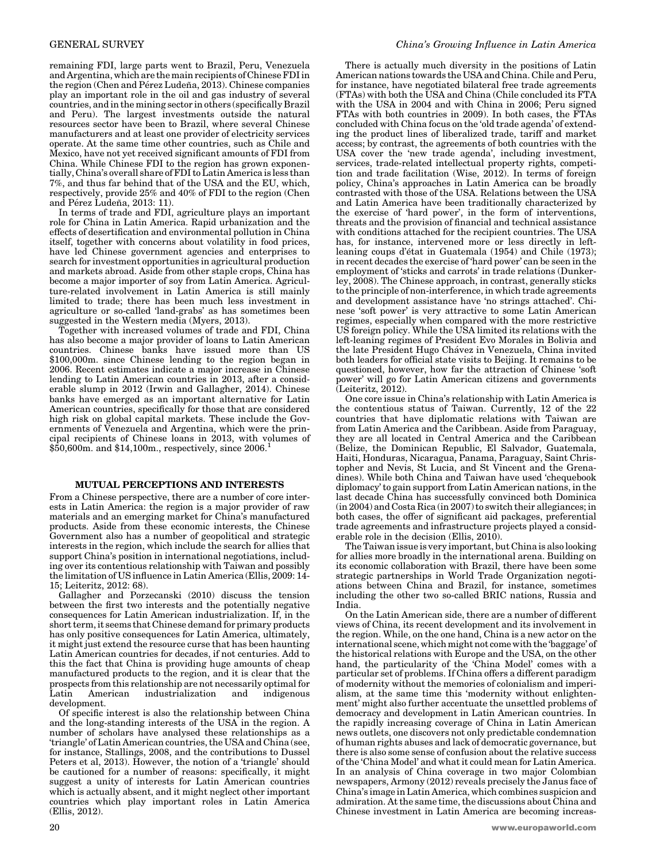remaining FDI, large parts went to Brazil, Peru, Venezuela and Argentina, which are the main recipients of Chinese FDI in the region (Chen and Pérez Ludeña, 2013). Chinese companies play an important role in the oil and gas industry of several countries, and in the mining sector in others (specifically Brazil and Peru). The largest investments outside the natural resources sector have been to Brazil, where several Chinese manufacturers and at least one provider of electricity services operate. At the same time other countries, such as Chile and Mexico, have not yet received significant amounts of FDI from China. While Chinese FDI to the region has grown exponentially, China's overall share of FDI to Latin America is less than 7%, and thus far behind that of the USA and the EU, which, respectively, provide 25% and 40% of FDI to the region (Chen and Pérez Ludeña, 2013: 11).

In terms of trade and FDI, agriculture plays an important role for China in Latin America. Rapid urbanization and the effects of desertification and environmental pollution in China itself, together with concerns about volatility in food prices, have led Chinese government agencies and enterprises to search for investment opportunities in agricultural production and markets abroad. Aside from other staple crops, China has become a major importer of soy from Latin America. Agriculture-related involvement in Latin America is still mainly limited to trade; there has been much less investment in agriculture or so-called 'land-grabs' as has sometimes been suggested in the Western media (Myers, 2013).

Together with increased volumes of trade and FDI, China has also become a major provider of loans to Latin American countries. Chinese banks have issued more than US \$100,000m. since Chinese lending to the region began in 2006. Recent estimates indicate a major increase in Chinese lending to Latin American countries in 2013, after a considerable slump in 2012 (Irwin and Gallagher, 2014). Chinese banks have emerged as an important alternative for Latin American countries, specifically for those that are considered high risk on global capital markets. These include the Governments of Venezuela and Argentina, which were the principal recipients of Chinese loans in 2013, with volumes of  $$50,600m$ . and  $$14,100m$ ., respectively, since 2006.

#### MUTUAL PERCEPTIONS AND INTERESTS

From a Chinese perspective, there are a number of core interests in Latin America: the region is a major provider of raw materials and an emerging market for China's manufactured products. Aside from these economic interests, the Chinese Government also has a number of geopolitical and strategic interests in the region, which include the search for allies that support China's position in international negotiations, including over its contentious relationship with Taiwan and possibly the limitation of US influence in Latin America (Ellis, 2009: 14- 15; Leiteritz, 2012: 68).

Gallagher and Porzecanski (2010) discuss the tension between the first two interests and the potentially negative consequences for Latin American industrialization. If, in the short term, it seems that Chinese demand for primary products has only positive consequences for Latin America, ultimately, it might just extend the resource curse that has been haunting Latin American countries for decades, if not centuries. Add to this the fact that China is providing huge amounts of cheap manufactured products to the region, and it is clear that the prospects from this relationship are not necessarily optimal for Latin American industrialization and indigenous development.

Of specific interest is also the relationship between China and the long-standing interests of the USA in the region. A number of scholars have analysed these relationships as a 'triangle' of Latin American countries, the USA and China (see, for instance, Stallings, 2008, and the contributions to Dussel Peters et al, 2013). However, the notion of a 'triangle' should be cautioned for a number of reasons: specifically, it might suggest a unity of interests for Latin American countries which is actually absent, and it might neglect other important countries which play important roles in Latin America (Ellis, 2012).

There is actually much diversity in the positions of Latin American nations towards the USA and China. Chile and Peru, for instance, have negotiated bilateral free trade agreements (FTAs) with both the USA and China (Chile concluded its FTA with the USA in 2004 and with China in 2006; Peru signed FTAs with both countries in 2009). In both cases, the FTAs concluded with China focus on the 'old trade agenda' of extending the product lines of liberalized trade, tariff and market access; by contrast, the agreements of both countries with the USA cover the 'new trade agenda', including investment, services, trade-related intellectual property rights, competition and trade facilitation (Wise, 2012). In terms of foreign policy, China's approaches in Latin America can be broadly contrasted with those of the USA. Relations between the USA and Latin America have been traditionally characterized by the exercise of 'hard power', in the form of interventions, threats and the provision of financial and technical assistance with conditions attached for the recipient countries. The USA has, for instance, intervened more or less directly in leftleaning coups d'état in Guatemala (1954) and Chile (1973); in recent decades the exercise of 'hard power' can be seen in the employment of 'sticks and carrots' in trade relations (Dunkerley, 2008). The Chinese approach, in contrast, generally sticks to the principle of non-interference, in which trade agreements and development assistance have 'no strings attached'. Chinese 'soft power' is very attractive to some Latin American regimes, especially when compared with the more restrictive US foreign policy. While the USA limited its relations with the left-leaning regimes of President Evo Morales in Bolivia and the late President Hugo Chávez in Venezuela, China invited both leaders for official state visits to Beijing. It remains to be questioned, however, how far the attraction of Chinese 'soft power' will go for Latin American citizens and governments (Leiteritz, 2012).

One core issue in China's relationship with Latin America is the contentious status of Taiwan. Currently, 12 of the 22 countries that have diplomatic relations with Taiwan are from Latin America and the Caribbean. Aside from Paraguay, they are all located in Central America and the Caribbean (Belize, the Dominican Republic, El Salvador, Guatemala, Haiti, Honduras, Nicaragua, Panama, Paraguay, Saint Christopher and Nevis, St Lucia, and St Vincent and the Grenadines). While both China and Taiwan have used 'chequebook diplomacy' to gain support from Latin American nations, in the last decade China has successfully convinced both Dominica (in 2004) and Costa Rica (in 2007) to switch their allegiances; in both cases, the offer of significant aid packages, preferential trade agreements and infrastructure projects played a considerable role in the decision (Ellis, 2010).

The Taiwan issue is very important, but China is also looking for allies more broadly in the international arena. Building on its economic collaboration with Brazil, there have been some strategic partnerships in World Trade Organization negotiations between China and Brazil, for instance, sometimes including the other two so-called BRIC nations, Russia and India.

On the Latin American side, there are a number of different views of China, its recent development and its involvement in the region. While, on the one hand, China is a new actor on the international scene, which might not come with the 'baggage' of the historical relations with Europe and the USA, on the other hand, the particularity of the 'China Model' comes with a particular set of problems. If China offers a different paradigm of modernity without the memories of colonialism and imperialism, at the same time this 'modernity without enlightenment' might also further accentuate the unsettled problems of democracy and development in Latin American countries. In the rapidly increasing coverage of China in Latin American news outlets, one discovers not only predictable condemnation of human rights abuses and lack of democratic governance, but there is also some sense of confusion about the relative success of the 'China Model' and what it could mean for Latin America. In an analysis of China coverage in two major Colombian newspapers, Armony (2012) reveals precisely the Janus face of China's image in Latin America, which combines suspicion and admiration. At the same time, the discussions about China and Chinese investment in Latin America are becoming increas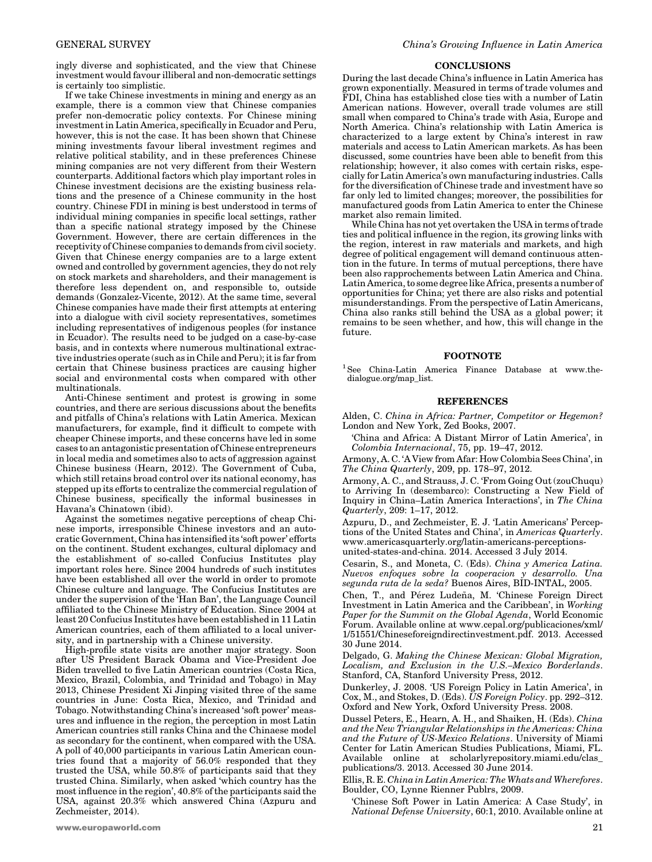ingly diverse and sophisticated, and the view that Chinese investment would favour illiberal and non-democratic settings is certainly too simplistic.

If we take Chinese investments in mining and energy as an example, there is a common view that Chinese companies prefer non-democratic policy contexts. For Chinese mining investment in Latin America, specifically in Ecuador and Peru, however, this is not the case. It has been shown that Chinese mining investments favour liberal investment regimes and relative political stability, and in these preferences Chinese mining companies are not very different from their Western counterparts. Additional factors which play important roles in Chinese investment decisions are the existing business relations and the presence of a Chinese community in the host country. Chinese FDI in mining is best understood in terms of individual mining companies in specific local settings, rather than a specific national strategy imposed by the Chinese Government. However, there are certain differences in the receptivity of Chinese companies to demands from civil society. Given that Chinese energy companies are to a large extent owned and controlled by government agencies, they do not rely on stock markets and shareholders, and their management is therefore less dependent on, and responsible to, outside demands (Gonzalez-Vicente, 2012). At the same time, several Chinese companies have made their first attempts at entering into a dialogue with civil society representatives, sometimes including representatives of indigenous peoples (for instance in Ecuador). The results need to be judged on a case-by-case basis, and in contexts where numerous multinational extractive industries operate (such as in Chile and Peru); it is far from certain that Chinese business practices are causing higher social and environmental costs when compared with other multinationals.

Anti-Chinese sentiment and protest is growing in some countries, and there are serious discussions about the benefits and pitfalls of China's relations with Latin America. Mexican manufacturers, for example, find it difficult to compete with cheaper Chinese imports, and these concerns have led in some cases to an antagonistic presentation of Chinese entrepreneurs in local media and sometimes also to acts of aggression against Chinese business (Hearn, 2012). The Government of Cuba, which still retains broad control over its national economy, has stepped up its efforts to centralize the commercial regulation of Chinese business, specifically the informal businesses in Havana's Chinatown (ibid).

Against the sometimes negative perceptions of cheap Chinese imports, irresponsible Chinese investors and an autocratic Government, China has intensified its 'soft power' efforts on the continent. Student exchanges, cultural diplomacy and the establishment of so-called Confucius Institutes play important roles here. Since 2004 hundreds of such institutes have been established all over the world in order to promote Chinese culture and language. The Confucius Institutes are under the supervision of the 'Han Ban', the Language Council affiliated to the Chinese Ministry of Education. Since 2004 at least 20 Confucius Institutes have been established in 11 Latin American countries, each of them affiliated to a local university, and in partnership with a Chinese university.

High-profile state visits are another major strategy. Soon after US President Barack Obama and Vice-President Joe Biden travelled to five Latin American countries (Costa Rica, Mexico, Brazil, Colombia, and Trinidad and Tobago) in May 2013, Chinese President Xi Jinping visited three of the same countries in June: Costa Rica, Mexico, and Trinidad and Tobago. Notwithstanding China's increased 'soft power' measures and influence in the region, the perception in most Latin American countries still ranks China and the Chinaese model as secondary for the continent, when compared with the USA. A poll of 40,000 participants in various Latin American countries found that a majority of 56.0% responded that they trusted the USA, while 50.8% of participants said that they trusted China. Similarly, when asked 'which country has the most influence in the region', 40.8% of the participants said the USA, against 20.3% which answered China (Azpuru and Zechmeister, 2014).

#### **CONCLUSIONS**

During the last decade China's influence in Latin America has grown exponentially. Measured in terms of trade volumes and FDI, China has established close ties with a number of Latin American nations. However, overall trade volumes are still small when compared to China's trade with Asia, Europe and North America. China's relationship with Latin America is characterized to a large extent by China's interest in raw materials and access to Latin American markets. As has been discussed, some countries have been able to benefit from this relationship; however, it also comes with certain risks, especially for Latin America's own manufacturing industries. Calls for the diversification of Chinese trade and investment have so far only led to limited changes; moreover, the possibilities for manufactured goods from Latin America to enter the Chinese market also remain limited.

While China has not yet overtaken the USA in terms of trade ties and political influence in the region, its growing links with the region, interest in raw materials and markets, and high degree of political engagement will demand continuous attention in the future. In terms of mutual perceptions, there have been also rapprochements between Latin America and China. Latin America, to some degree like Africa, presents a number of opportunities for China; yet there are also risks and potential misunderstandings. From the perspective of Latin Americans, China also ranks still behind the USA as a global power; it remains to be seen whether, and how, this will change in the future.

#### FOOTNOTE

<sup>1</sup> See China-Latin America Finance Database at www.thedialogue.org/map\_list.

#### REFERENCES

Alden, C. China in Africa: Partner, Competitor or Hegemon? London and New York, Zed Books, 2007.

'China and Africa: A Distant Mirror of Latin America', in Colombia Internacional, 75, pp. 19–47, 2012.

Armony, A. C. 'A View from Afar: How Colombia Sees China', in The China Quarterly, 209, pp. 178–97, 2012.

Armony, A. C., and Strauss, J. C. 'From Going Out (zouChuqu) to Arriving In (desembarco): Constructing a New Field of Inquiry in China–Latin America Interactions', in The China Quarterly, 209: 1–17, 2012.

Azpuru, D., and Zechmeister, E. J. 'Latin Americans' Perceptions of the United States and China', in Americas Quarterly. www.americasquarterly.org/latin-americans-perceptionsunited-states-and-china. 2014. Accessed 3 July 2014.

Cesarin, S., and Moneta, C. (Eds). China y America Latina. Nuevos enfoques sobre la cooperacion y desarrollo. Una segunda ruta de la seda? Buenos Aires, BID-INTAL, 2005.

Chen, T., and Pérez Ludeña, M. 'Chinese Foreign Direct Investment in Latin America and the Caribbean', in Working Paper for the Summit on the Global Agenda, World Economic Forum. Available online at www.cepal.org/publicaciones/xml/ 1/51551/Chineseforeigndirectinvestment.pdf. 2013. Accessed 30 June 2014.

Delgado, G. Making the Chinese Mexican: Global Migration, Localism, and Exclusion in the U.S.–Mexico Borderlands. Stanford, CA, Stanford University Press, 2012.

Dunkerley, J. 2008. 'US Foreign Policy in Latin America', in Cox, M., and Stokes, D. (Eds). US Foreign Policy. pp. 292–312. Oxford and New York, Oxford University Press. 2008.

Dussel Peters, E., Hearn, A. H., and Shaiken, H. (Eds). China and the New Triangular Relationships in the Americas: China and the Future of US-Mexico Relations. University of Miami Center for Latin American Studies Publications, Miami, FL. Available online at scholarlyrepository.miami.edu/clas\_ publications/3. 2013. Accessed 30 June 2014.

Ellis, R. E. China in Latin America: The Whats and Wherefores. Boulder, CO, Lynne Rienner Publrs, 2009.

'Chinese Soft Power in Latin America: A Case Study', in National Defense University, 60:1, 2010. Available online at